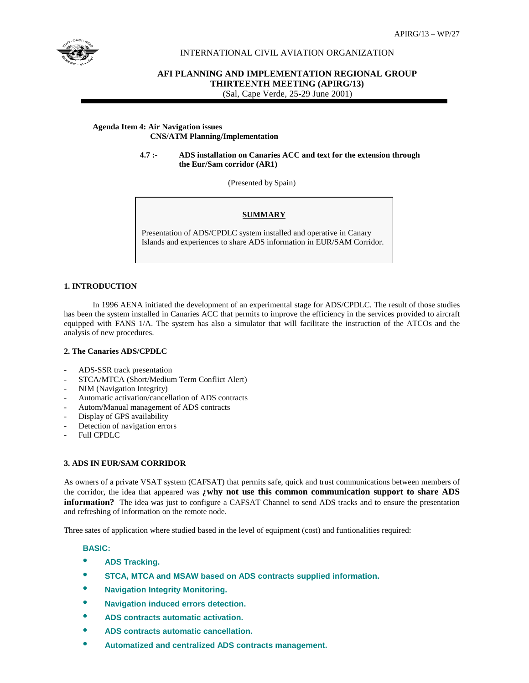

# INTERNATIONAL CIVIL AVIATION ORGANIZATION

# **AFI PLANNING AND IMPLEMENTATION REGIONAL GROUP THIRTEENTH MEETING (APIRG/13)** (Sal, Cape Verde, 25-29 June 2001)

### **Agenda Item 4: Air Navigation issues CNS/ATM Planning/Implementation**

#### **4.7 :- ADS installation on Canaries ACC and text for the extension through the Eur/Sam corridor (AR1)**

(Presented by Spain)

### **SUMMARY**

Presentation of ADS/CPDLC system installed and operative in Canary Islands and experiences to share ADS information in EUR/SAM Corridor.

### **1. INTRODUCTION**

 In 1996 AENA initiated the development of an experimental stage for ADS/CPDLC. The result of those studies has been the system installed in Canaries ACC that permits to improve the efficiency in the services provided to aircraft equipped with FANS 1/A. The system has also a simulator that will facilitate the instruction of the ATCOs and the analysis of new procedures.

#### **2. The Canaries ADS/CPDLC**

- ADS-SSR track presentation
- STCA/MTCA (Short/Medium Term Conflict Alert)
- NIM (Navigation Integrity)
- Automatic activation/cancellation of ADS contracts
- Autom/Manual management of ADS contracts
- Display of GPS availability
- Detection of navigation errors
- Full CPDLC

# **3. ADS IN EUR/SAM CORRIDOR**

As owners of a private VSAT system (CAFSAT) that permits safe, quick and trust communications between members of the corridor, the idea that appeared was **¿why not use this common communication support to share ADS information?** The idea was just to configure a CAFSAT Channel to send ADS tracks and to ensure the presentation and refreshing of information on the remote node.

Three sates of application where studied based in the level of equipment (cost) and funtionalities required:

# **BASIC:**

- **ADS Tracking.**
- **STCA, MTCA and MSAW based on ADS contracts supplied information.**
- **Navigation Integrity Monitoring.**
- **Navigation induced errors detection.**
- **ADS contracts automatic activation.**
- **ADS contracts automatic cancellation.**
- **Automatized and centralized ADS contracts management.**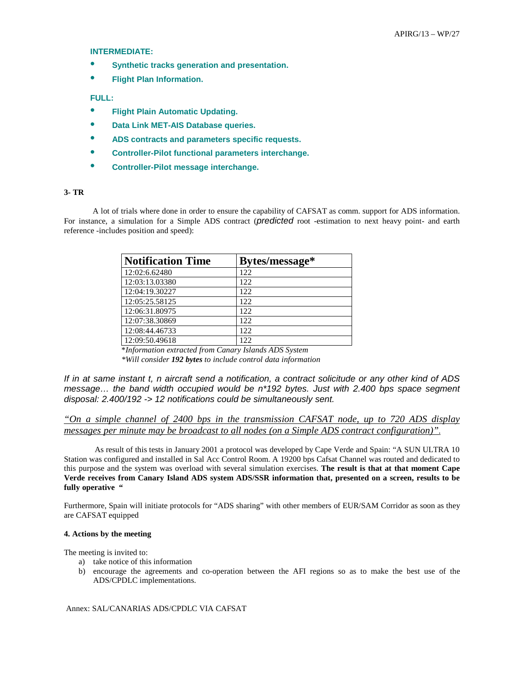#### **INTERMEDIATE:**

- **Synthetic tracks generation and presentation.**
- **Flight Plan Information.**

#### **FULL:**

- **Flight Plain Automatic Updating.**
- **Data Link MET-AIS Database queries.**
- **ADS contracts and parameters specific requests.**
- **Controller-Pilot functional parameters interchange.**
- **Controller-Pilot message interchange.**

# **3-TR**

A lot of trials where done in order to ensure the capability of CAFSAT as comm. support for ADS information. For instance, a simulation for a Simple ADS contract (*predicted* root -estimation to next heavy point- and earth reference -includes position and speed):

| <b>Notification Time</b> | Bytes/message* |
|--------------------------|----------------|
| 12:02:6.62480            | 122            |
| 12:03:13.03380           | 122            |
| 12:04:19.30227           | 122.           |
| 12:05:25.58125           | 122            |
| 12:06:31.80975           | 122            |
| 12:07:38.30869           | 122            |
| 12:08:44.46733           | 122            |
| 12:09:50.49618           | 122            |

\**Information extracted from Canary Islands ADS System \*Will consider 192 bytes to include control data information*

*If in at same instant t, n aircraft send a notification, a contract solicitude or any other kind of ADS message… the band width occupied would be n\*192 bytes. Just with 2.400 bps space segment disposal: 2.400/192 -> 12 notifications could be simultaneously sent.* 

*"On a simple channel of 2400 bps in the transmission CAFSAT node, up to 720 ADS display messages per minute may be broadcast to all nodes (on a Simple ADS contract configuration)"*.

 As result of this tests in January 2001 a protocol was developed by Cape Verde and Spain: "A SUN ULTRA 10 Station was configured and installed in Sal Acc Control Room. A 19200 bps Cafsat Channel was routed and dedicated to this purpose and the system was overload with several simulation exercises. **The result is that at that moment Cape Verde receives from Canary Island ADS system ADS/SSR information that, presented on a screen, results to be fully operative "** 

Furthermore, Spain will initiate protocols for "ADS sharing" with other members of EUR/SAM Corridor as soon as they are CAFSAT equipped

#### **4. Actions by the meeting**

The meeting is invited to:

- a) take notice of this information
- b) encourage the agreements and co-operation between the AFI regions so as to make the best use of the ADS/CPDLC implementations.

Annex: SAL/CANARIAS ADS/CPDLC VIA CAFSAT